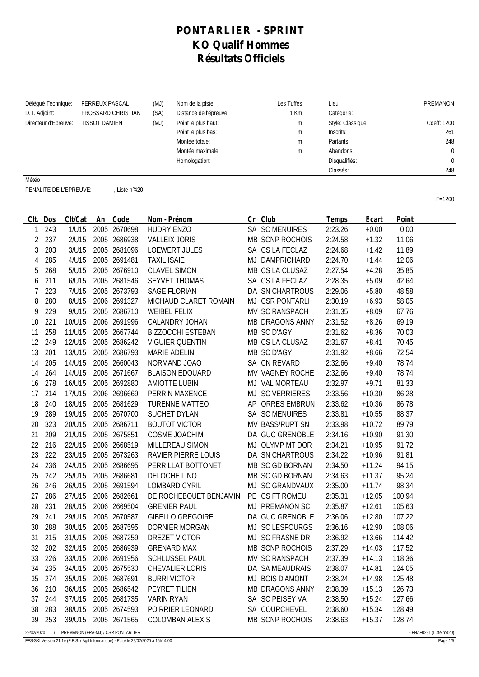## **PONTARLIER - SPRINT KO Qualif Hommes Résultats Officiels**

| Délégué Technique:<br><b>FERREUX PASCAL</b><br>D.T. Adjoint:<br>FROSSARD CHRISTIAN<br>Directeur d'Epreuve:<br><b>TISSOT DAMIEN</b> |                 | (MJ)<br>Nom de la piste:<br>(SA)<br>Distance de l'épreuve:<br>(MJ)<br>Point le plus haut:<br>Point le plus bas:<br>Montée totale:<br>Montée maximale:<br>Homologation: |    | Les Tuffes<br>1 Km<br>${\sf m}$<br>m<br>m<br>m | Lieu:<br>Catégorie:<br>Style: Classique<br>Inscrits:<br>Partants:<br>Abandons:<br>Disqualifiés:<br>Classés: |                          | PREMANON<br>Coeff: 1200<br>261<br>248<br>$\mathbf 0$<br>$\mathbf 0$<br>248 |                    |                      |               |            |
|------------------------------------------------------------------------------------------------------------------------------------|-----------------|------------------------------------------------------------------------------------------------------------------------------------------------------------------------|----|------------------------------------------------|-------------------------------------------------------------------------------------------------------------|--------------------------|----------------------------------------------------------------------------|--------------------|----------------------|---------------|------------|
| Météo:                                                                                                                             |                 |                                                                                                                                                                        |    |                                                |                                                                                                             |                          |                                                                            |                    |                      |               |            |
|                                                                                                                                    |                 | PENALITE DE L'EPREUVE:                                                                                                                                                 |    | Liste n°420                                    |                                                                                                             |                          |                                                                            |                    |                      |               |            |
|                                                                                                                                    |                 |                                                                                                                                                                        |    |                                                |                                                                                                             |                          |                                                                            |                    |                      |               | $F = 1200$ |
|                                                                                                                                    |                 |                                                                                                                                                                        |    |                                                |                                                                                                             |                          |                                                                            |                    |                      |               |            |
| 1                                                                                                                                  | Clt. Dos<br>243 | Clt/Cat<br>1/U15                                                                                                                                                       | An | Code<br>2005 2670698                           | Nom - Prénom<br><b>HUDRY ENZO</b>                                                                           |                          | Cr Club<br><b>SA SC MENUIRES</b>                                           | Temps<br>2:23.26   | Ecart<br>$+0.00$     | Point<br>0.00 |            |
| 2                                                                                                                                  | 237             | 2/U15                                                                                                                                                                  |    | 2005 2686938                                   |                                                                                                             | <b>VALLEIX JORIS</b>     | MB SCNP ROCHOIS                                                            | 2:24.58            | $+1.32$              | 11.06         |            |
| 3                                                                                                                                  | 203             | 3/U15                                                                                                                                                                  |    | 2005 2681096                                   |                                                                                                             | <b>LOEWERT JULES</b>     | SA CS LA FECLAZ                                                            | 2:24.68            | $+1.42$              | 11.89         |            |
| 4                                                                                                                                  | 285             | 4/U15                                                                                                                                                                  |    | 2005 2691481                                   | <b>TAXIL ISAIE</b>                                                                                          |                          | MJ DAMPRICHARD                                                             | 2:24.70            | $+1.44$              | 12.06         |            |
| 5                                                                                                                                  | 268             | 5/U15                                                                                                                                                                  |    | 2005 2676910                                   |                                                                                                             | <b>CLAVEL SIMON</b>      | MB CS LA CLUSAZ                                                            | 2:27.54            | $+4.28$              | 35.85         |            |
| 6                                                                                                                                  | 211             | 6/U15                                                                                                                                                                  |    | 2005 2681546                                   |                                                                                                             | <b>SEYVET THOMAS</b>     | SA CS LA FECLAZ                                                            | 2:28.35            | $+5.09$              | 42.64         |            |
| 7                                                                                                                                  | 223             | 7/U15                                                                                                                                                                  |    | 2005 2673793                                   |                                                                                                             | <b>SAGE FLORIAN</b>      | DA SN CHARTROUS                                                            | 2:29.06            | $+5.80$              | 48.58         |            |
| 8                                                                                                                                  | 280             | 8/U15                                                                                                                                                                  |    | 2006 2691327                                   |                                                                                                             | MICHAUD CLARET ROMAIN    | MJ CSR PONTARLI                                                            | 2:30.19            | $+6.93$              | 58.05         |            |
| 9                                                                                                                                  | 229             | 9/U15                                                                                                                                                                  |    | 2005 2686710                                   |                                                                                                             | <b>WEIBEL FELIX</b>      | MV SC RANSPACH                                                             | 2:31.35            | $+8.09$              | 67.76         |            |
| 10                                                                                                                                 | 221             | 10/U15                                                                                                                                                                 |    | 2006 2691996                                   |                                                                                                             | CALANDRY JOHAN           | <b>MB DRAGONS ANNY</b>                                                     | 2:31.52            | $+8.26$              | 69.19         |            |
| 11                                                                                                                                 | 258             | 11/U15                                                                                                                                                                 |    | 2005 2667744                                   |                                                                                                             | <b>BIZZOCCHI ESTEBAN</b> | MB SC D'AGY                                                                | 2:31.62            | $+8.36$              | 70.03         |            |
| 12                                                                                                                                 | 249             | 12/U15                                                                                                                                                                 |    | 2005 2686242                                   |                                                                                                             | <b>VIGUIER QUENTIN</b>   | MB CS LA CLUSAZ                                                            | 2:31.67            | $+8.41$              | 70.45         |            |
| 13                                                                                                                                 | 201             | 13/U15                                                                                                                                                                 |    | 2005 2686793                                   |                                                                                                             | <b>MARIE ADELIN</b>      | MB SC D'AGY                                                                | 2:31.92            | $+8.66$              | 72.54         |            |
| 14                                                                                                                                 | 205             | 14/U15                                                                                                                                                                 |    | 2005 2660043                                   |                                                                                                             | NORMAND JOAO             | SA CN REVARD                                                               | 2:32.66            | $+9.40$              | 78.74         |            |
| 14                                                                                                                                 | 264             | 14/U15                                                                                                                                                                 |    | 2005 2671667                                   |                                                                                                             | <b>BLAISON EDOUARD</b>   | MV VAGNEY ROCHE                                                            | 2:32.66            | $+9.40$              | 78.74         |            |
| 16                                                                                                                                 | 278             | 16/U15                                                                                                                                                                 |    | 2005 2692880                                   |                                                                                                             | <b>AMIOTTE LUBIN</b>     | MJ VAL MORTEAU                                                             | 2:32.97            | $+9.71$              | 81.33         |            |
| 17                                                                                                                                 | 214             | 17/U15                                                                                                                                                                 |    | 2006 2696669                                   |                                                                                                             | PERRIN MAXENCE           | MJ SC VERRIERES                                                            | 2:33.56            | $+10.30$             | 86.28         |            |
| 18                                                                                                                                 | 240             | 18/U15                                                                                                                                                                 |    | 2005 2681629                                   |                                                                                                             | <b>TURENNE MATTEO</b>    | AP ORRES EMBRUN                                                            | 2:33.62            | $+10.36$             | 86.78         |            |
| 19                                                                                                                                 | 289             | 19/U15                                                                                                                                                                 |    | 2005 2670700                                   |                                                                                                             | <b>SUCHET DYLAN</b>      | <b>SA SC MENUIRES</b>                                                      | 2:33.81            | $+10.55$             | 88.37         |            |
| 20                                                                                                                                 | 323             | 20/U15                                                                                                                                                                 |    | 2005 2686711                                   |                                                                                                             | <b>BOUTOT VICTOR</b>     | MV BASS/RUPT SN                                                            | 2:33.98            | $+10.72$             | 89.79         |            |
| 21                                                                                                                                 | 209             | 21/U15                                                                                                                                                                 |    | 2005 2675851                                   |                                                                                                             | <b>COSME JOACHIM</b>     | DA GUC GRENOBLE                                                            | 2:34.16            | $+10.90$             | 91.30         |            |
| 22                                                                                                                                 | 216             | 22/U15                                                                                                                                                                 |    | 2006 2668519                                   |                                                                                                             | MILLEREAU SIMON          | MJ OLYMP MT DOR                                                            | 2:34.21            | $+10.95$             | 91.72         |            |
| 23                                                                                                                                 | 222             | 23/U15                                                                                                                                                                 |    | 2005 2673263                                   |                                                                                                             | RAVIER PIERRE LOUIS      | DA SN CHARTROUS                                                            | 2:34.22            | $+10.96$             | 91.81         |            |
| 24                                                                                                                                 | 236             | 24/U15                                                                                                                                                                 |    | 2005 2686695                                   |                                                                                                             | PERRILLAT BOTTONET       | MB SC GD BORNAN                                                            | 2:34.50            | $+11.24$             | 94.15         |            |
|                                                                                                                                    | 242             | 25/U15                                                                                                                                                                 |    | 2005 2686681                                   |                                                                                                             | DELOCHE LINO             | MB SC GD BORNAN                                                            | 2:34.63            | $+11.37$             | 95.24         |            |
| 25                                                                                                                                 |                 | 26/U15                                                                                                                                                                 |    | 2005 2691594                                   |                                                                                                             | LOMBARD CYRIL            | MJ SC GRANDVAUX                                                            |                    |                      | 98.34         |            |
| 26<br>27                                                                                                                           | 246<br>286      | 27/U15                                                                                                                                                                 |    | 2006 2682661                                   |                                                                                                             | DE ROCHEBOUET BENJAMIN   | PE CS FT ROMEU                                                             | 2:35.00<br>2:35.31 | $+11.74$<br>$+12.05$ | 100.94        |            |
| 28                                                                                                                                 | 231             | 28/U15                                                                                                                                                                 |    | 2006 2669504                                   |                                                                                                             | <b>GRENIER PAUL</b>      | MJ PREMANON SC                                                             | 2:35.87            | $+12.61$             | 105.63        |            |
| 29                                                                                                                                 | 241             | 29/U15                                                                                                                                                                 |    | 2005 2670587                                   |                                                                                                             | GIBELLO GREGOIRE         | DA GUC GRENOBLE                                                            | 2:36.06            | $+12.80$             | 107.22        |            |
| 30                                                                                                                                 | 288             | 30/U15                                                                                                                                                                 |    | 2005 2687595                                   |                                                                                                             | DORNIER MORGAN           | MJ SC LESFOURGS                                                            | 2:36.16            | $+12.90$             | 108.06        |            |
| 31                                                                                                                                 | 215             | 31/U15                                                                                                                                                                 |    | 2005 2687259                                   |                                                                                                             | DREZET VICTOR            | MJ SC FRASNE DR                                                            | 2:36.92            | $+13.66$             | 114.42        |            |
| 32                                                                                                                                 | 202             | 32/U15                                                                                                                                                                 |    | 2005 2686939                                   |                                                                                                             | <b>GRENARD MAX</b>       | MB SCNP ROCHOIS                                                            | 2:37.29            | $+14.03$             | 117.52        |            |
| 33                                                                                                                                 | 226             | 33/U15                                                                                                                                                                 |    | 2006 2691956                                   |                                                                                                             | SCHLUSSEL PAUL           | MV SC RANSPACH                                                             | 2:37.39            | $+14.13$             | 118.36        |            |
| 34                                                                                                                                 | 235             | 34/U15                                                                                                                                                                 |    | 2005 2675530                                   |                                                                                                             | CHEVALIER LORIS          | DA SA MEAUDRAIS                                                            | 2:38.07            | $+14.81$             | 124.05        |            |
| 35                                                                                                                                 | 274             | 35/U15                                                                                                                                                                 |    | 2005 2687691                                   |                                                                                                             | <b>BURRI VICTOR</b>      | MJ BOIS D'AMONT                                                            | 2:38.24            | $+14.98$             | 125.48        |            |
| 36                                                                                                                                 | 210             | 36/U15                                                                                                                                                                 |    | 2005 2686542                                   |                                                                                                             | PEYRET TILIEN            | MB DRAGONS ANNY                                                            | 2:38.39            | $+15.13$             | 126.73        |            |
| 37                                                                                                                                 | 244             | 37/U15                                                                                                                                                                 |    | 2005 2681735                                   | <b>VARIN RYAN</b>                                                                                           |                          | SA SC PEISEY VA                                                            | 2:38.50            | $+15.24$             | 127.66        |            |
| 38                                                                                                                                 | 283             | 38/U15                                                                                                                                                                 |    | 2005 2674593                                   |                                                                                                             | POIRRIER LEONARD         | SA COURCHEVEL                                                              | 2:38.60            | $+15.34$             | 128.49        |            |
| 39                                                                                                                                 | 253             | 39/U15                                                                                                                                                                 |    | 2005 2671565                                   |                                                                                                             | COLOMBAN ALEXIS          | MB SCNP ROCHOIS                                                            | 2:38.63            | $+15.37$             | 128.74        |            |

29/02/2020 / PREMANON (FRA-MJ) / CSR PONTARLIER - FNAF0291 (Liste n°420)

FFS-SKI Version 21.1e (F.F.S. / Agil Informatique) - Edité le 29/02/2020 à 15h14:00 Page 1/5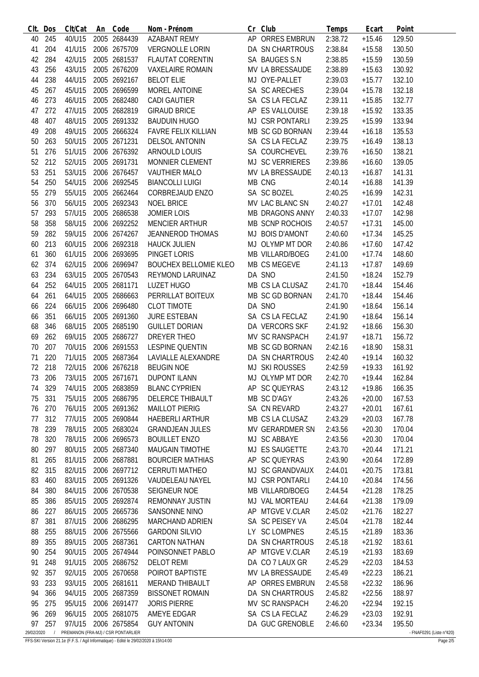| CIt.       | Dos | Clt/Cat | An | Code                                 | Nom - Prénom                 | Cr | Club                   | Temps   | Ecart    | Point                    |
|------------|-----|---------|----|--------------------------------------|------------------------------|----|------------------------|---------|----------|--------------------------|
| 40         | 245 | 40/U15  |    | 2005 2684439                         | <b>AZABANT REMY</b>          |    | AP ORRES EMBRUN        | 2:38.72 | $+15.46$ | 129.50                   |
| 41         | 204 | 41/U15  |    | 2006 2675709                         | <b>VERGNOLLE LORIN</b>       |    | DA SN CHARTROUS        | 2:38.84 | $+15.58$ | 130.50                   |
| 42         | 284 | 42/U15  |    | 2005 2681537                         | <b>FLAUTAT CORENTIN</b>      |    | SA BAUGES S.N          | 2:38.85 | $+15.59$ | 130.59                   |
| 43         | 256 | 43/U15  |    | 2005 2676209                         | <b>VAXELAIRE ROMAIN</b>      |    | MV LA BRESSAUDE        | 2:38.89 | $+15.63$ | 130.92                   |
| 44         | 238 | 44/U15  |    | 2005 2692167                         | <b>BELOT ELIE</b>            |    | MJ OYE-PALLET          | 2:39.03 | $+15.77$ | 132.10                   |
| 45         | 267 | 45/U15  |    | 2005 2696599                         | MOREL ANTOINE                |    | SA SC ARECHES          | 2:39.04 | $+15.78$ | 132.18                   |
| 46         | 273 | 46/U15  |    | 2005 2682480                         | <b>CADI GAUTIER</b>          |    | SA CS LA FECLAZ        | 2:39.11 | $+15.85$ | 132.77                   |
| 47         | 272 | 47/U15  |    | 2005 2682819                         | <b>GIRAUD BRICE</b>          |    | AP ES VALLOUISE        | 2:39.18 | $+15.92$ | 133.35                   |
|            |     |         |    |                                      |                              |    | MJ CSR PONTARLI        |         |          |                          |
| 48         | 407 | 48/U15  |    | 2005 2691332                         | <b>BAUDUIN HUGO</b>          |    |                        | 2:39.25 | $+15.99$ | 133.94                   |
| 49         | 208 | 49/U15  |    | 2005 2666324                         | <b>FAVRE FELIX KILLIAN</b>   |    | MB SC GD BORNAN        | 2:39.44 | $+16.18$ | 135.53                   |
| 50         | 263 | 50/U15  |    | 2005 2671231                         | <b>DELSOL ANTONIN</b>        |    | SA CS LA FECLAZ        | 2:39.75 | $+16.49$ | 138.13                   |
| 51         | 276 | 51/U15  |    | 2006 2676392                         | <b>ARNOULD LOUIS</b>         |    | SA COURCHEVEL          | 2:39.76 | $+16.50$ | 138.21                   |
| 52         | 212 | 52/U15  |    | 2005 2691731                         | MONNIER CLEMENT              |    | <b>MJ SC VERRIERES</b> | 2:39.86 | $+16.60$ | 139.05                   |
| 53         | 251 | 53/U15  |    | 2006 2676457                         | <b>VAUTHIER MALO</b>         |    | MV LA BRESSAUDE        | 2:40.13 | $+16.87$ | 141.31                   |
| 54         | 250 | 54/U15  |    | 2006 2692545                         | <b>BIANCOLLI LUIGI</b>       |    | MB CNG                 | 2:40.14 | $+16.88$ | 141.39                   |
| 55         | 279 | 55/U15  |    | 2005 2662464                         | <b>CORBREJAUD ENZO</b>       |    | SA SC BOZEL            | 2:40.25 | $+16.99$ | 142.31                   |
| 56         | 370 | 56/U15  |    | 2005 2692343                         | <b>NOEL BRICE</b>            |    | MV LAC BLANC SN        | 2:40.27 | $+17.01$ | 142.48                   |
| 57         | 293 | 57/U15  |    | 2005 2686538                         | <b>JOMIER LOIS</b>           |    | <b>MB DRAGONS ANNY</b> | 2:40.33 | $+17.07$ | 142.98                   |
| 58         | 358 | 58/U15  |    | 2006 2692252                         | <b>MENCIER ARTHUR</b>        |    | MB SCNP ROCHOIS        | 2:40.57 | $+17.31$ | 145.00                   |
| 59         | 282 | 59/U15  |    | 2006 2674267                         | <b>JEANNEROD THOMAS</b>      |    | MJ BOIS D'AMONT        | 2:40.60 | $+17.34$ | 145.25                   |
| 60         | 213 | 60/U15  |    | 2006 2692318                         | <b>HAUCK JULIEN</b>          |    | MJ OLYMP MT DOR        | 2:40.86 | $+17.60$ | 147.42                   |
| 61         | 360 | 61/U15  |    | 2006 2693695                         | PINGET LORIS                 |    | MB VILLARD/BOEG        | 2:41.00 | $+17.74$ | 148.60                   |
| 62         | 374 | 62/U15  |    | 2006 2696947                         | <b>BOUCHEX BELLOMIE KLEO</b> |    | MB CS MEGEVE           | 2:41.13 | $+17.87$ | 149.69                   |
| 63         | 234 | 63/U15  |    | 2005 2670543                         | REYMOND LARUINAZ             |    | DA SNO                 | 2:41.50 | $+18.24$ | 152.79                   |
|            |     |         |    |                                      |                              |    |                        |         |          |                          |
| 64         | 252 | 64/U15  |    | 2005 2681171                         | LUZET HUGO                   |    | MB CS LA CLUSAZ        | 2:41.70 | $+18.44$ | 154.46                   |
| 64         | 261 | 64/U15  |    | 2005 2686663                         | PERRILLAT BOITEUX            |    | MB SC GD BORNAN        | 2:41.70 | $+18.44$ | 154.46                   |
| 66         | 224 | 66/U15  |    | 2006 2696480                         | <b>CLOT TIMOTE</b>           |    | DA SNO                 | 2:41.90 | $+18.64$ | 156.14                   |
| 66         | 351 | 66/U15  |    | 2005 2691360                         | <b>JURE ESTEBAN</b>          |    | SA CS LA FECLAZ        | 2:41.90 | $+18.64$ | 156.14                   |
| 68         | 346 | 68/U15  |    | 2005 2685190                         | <b>GUILLET DORIAN</b>        |    | DA VERCORS SKF         | 2:41.92 | $+18.66$ | 156.30                   |
| 69         | 262 | 69/U15  |    | 2005 2686727                         | DREYER THEO                  |    | MV SC RANSPACH         | 2:41.97 | $+18.71$ | 156.72                   |
| 70         | 207 | 70/U15  |    | 2006 2691553                         | <b>LESPINE QUENTIN</b>       |    | MB SC GD BORNAN        | 2:42.16 | $+18.90$ | 158.31                   |
| 71         | 220 | 71/U15  |    | 2005 2687364                         | LAVIALLE ALEXANDRE           |    | DA SN CHARTROUS        | 2:42.40 | $+19.14$ | 160.32                   |
| 72         | 218 | 72/U15  |    | 2006 2676218                         | <b>BEUGIN NOE</b>            |    | <b>MJ SKI ROUSSES</b>  | 2:42.59 | $+19.33$ | 161.92                   |
| 73         | 206 | 73/U15  |    | 2005 2671671                         | <b>DUPONT ILANN</b>          |    | MJ OLYMP MT DOR        | 2:42.70 | $+19.44$ | 162.84                   |
| 74         | 329 | 74/U15  |    | 2005 2683859                         | <b>BLANC CYPRIEN</b>         |    | AP SC QUEYRAS          | 2:43.12 | $+19.86$ | 166.35                   |
| 75         | 331 | 75/U15  |    | 2005 2686795                         | DELERCE THIBAULT             |    | MB SC D'AGY            | 2:43.26 | $+20.00$ | 167.53                   |
| 76         | 270 | 76/U15  |    | 2005 2691362                         | <b>MAILLOT PIERIG</b>        |    | SA CN REVARD           | 2:43.27 | $+20.01$ | 167.61                   |
| 77         | 312 | 77/U15  |    | 2005 2690844                         | HAEBERLI ARTHUR              |    | MB CS LA CLUSAZ        | 2:43.29 | $+20.03$ | 167.78                   |
| 78         | 239 | 78/U15  |    | 2005 2683024                         | <b>GRANDJEAN JULES</b>       |    | MV GERARDMER SN        | 2:43.56 | $+20.30$ | 170.04                   |
| 78         | 320 | 78/U15  |    | 2006 2696573                         | <b>BOUILLET ENZO</b>         |    | MJ SC ABBAYE           | 2:43.56 | $+20.30$ | 170.04                   |
| 80         | 297 | 80/U15  |    | 2005 2687340                         | <b>MAUGAIN TIMOTHE</b>       |    | MJ ES SAUGETTE         | 2:43.70 | $+20.44$ | 171.21                   |
|            |     | 81/U15  |    | 2006 2687881                         | <b>BOURCIER MATHIAS</b>      |    | AP SC QUEYRAS          |         |          |                          |
| 81         | 265 |         |    |                                      |                              |    |                        | 2:43.90 | $+20.64$ | 172.89                   |
| 82         | 315 | 82/U15  |    | 2006 2697712                         | <b>CERRUTI MATHEO</b>        |    | MJ SC GRANDVAUX        | 2:44.01 | $+20.75$ | 173.81                   |
| 83         | 460 | 83/U15  |    | 2005 2691326                         | VAUDELEAU NAYEL              |    | MJ CSR PONTARLI        | 2:44.10 | $+20.84$ | 174.56                   |
| 84         | 380 | 84/U15  |    | 2006 2670538                         | SEIGNEUR NOE                 |    | MB VILLARD/BOEG        | 2:44.54 | $+21.28$ | 178.25                   |
| 85         | 386 | 85/U15  |    | 2005 2692874                         | REMONNAY JUSTIN              |    | MJ VAL MORTEAU         | 2:44.64 | $+21.38$ | 179.09                   |
| 86         | 227 | 86/U15  |    | 2005 2665736                         | SANSONNE NINO                |    | AP MTGVE V.CLAR        | 2:45.02 | $+21.76$ | 182.27                   |
| 87         | 381 | 87/U15  |    | 2006 2686295                         | <b>MARCHAND ADRIEN</b>       |    | SA SC PEISEY VA        | 2:45.04 | $+21.78$ | 182.44                   |
| 88         | 255 | 88/U15  |    | 2006 2675566                         | <b>GARDONI SILVIO</b>        |    | LY SC LOMPNES          | 2:45.15 | $+21.89$ | 183.36                   |
| 89         | 355 | 89/U15  |    | 2005 2687361                         | <b>CARTON NATHAN</b>         |    | DA SN CHARTROUS        | 2:45.18 | $+21.92$ | 183.61                   |
| 90         | 254 | 90/U15  |    | 2005 2674944                         | POINSONNET PABLO             |    | AP MTGVE V.CLAR        | 2:45.19 | $+21.93$ | 183.69                   |
| 91         | 248 | 91/U15  |    | 2005 2686752                         | <b>DELOT REMI</b>            |    | DA CO 7 LAUX GR        | 2:45.29 | $+22.03$ | 184.53                   |
| 92         | 357 | 92/U15  |    | 2005 2670658                         | POIROT BAPTISTE              |    | MV LA BRESSAUDE        | 2:45.49 | $+22.23$ | 186.21                   |
| 93         | 233 | 93/U15  |    | 2005 2681611                         | <b>MERAND THIBAULT</b>       |    | AP ORRES EMBRUN        | 2:45.58 | $+22.32$ | 186.96                   |
| 94         | 366 | 94/U15  |    | 2005 2687359                         | <b>BISSONET ROMAIN</b>       |    | DA SN CHARTROUS        | 2:45.82 | $+22.56$ | 188.97                   |
| 95         | 275 | 95/U15  |    | 2006 2691477                         | <b>JORIS PIERRE</b>          |    | MV SC RANSPACH         | 2:46.20 | $+22.94$ | 192.15                   |
| 96         | 269 | 96/U15  |    | 2005 2681075                         | AMEYE EDGAR                  |    | SA CS LA FECLAZ        | 2:46.29 | $+23.03$ | 192.91                   |
| 97         | 257 | 97/U15  |    | 2006 2675854                         | <b>GUY ANTONIN</b>           |    | DA GUC GRENOBLE        | 2:46.60 | $+23.34$ | 195.50                   |
| 29/02/2020 |     |         |    | / PREMANON (FRA-MJ) / CSR PONTARLIER |                              |    |                        |         |          | - FNAF0291 (Liste n°420) |

FFS-SKI Version 21.1e (F.F.S. / Agil Informatique) - Edité le 29/02/2020 à 15h14:00 Page 2/5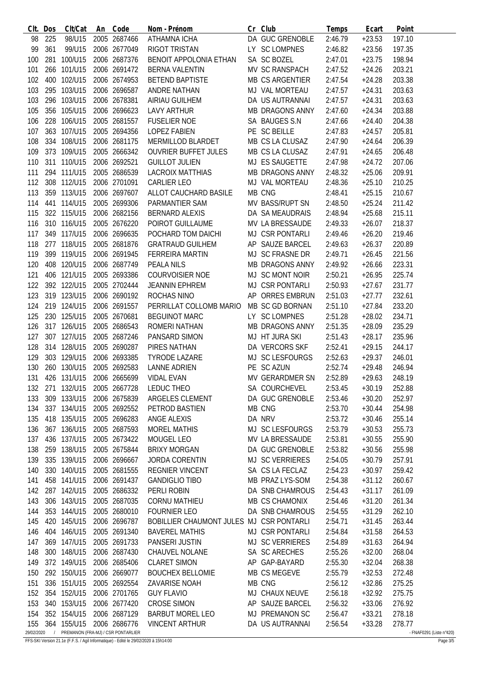| CIt.              | Dos | Clt/Cat     | An | Code                                               | Nom - Prénom                             |    | Cr Club                | Temps   | Ecart    | Point                              |
|-------------------|-----|-------------|----|----------------------------------------------------|------------------------------------------|----|------------------------|---------|----------|------------------------------------|
| 98                | 225 | 98/U15      |    | 2005 2687466                                       | ATHAMNA ICHA                             |    | DA GUC GRENOBLE        | 2:46.79 | $+23.53$ | 197.10                             |
| 99                | 361 | 99/U15      |    | 2006 2677049                                       | RIGOT TRISTAN                            |    | LY SC LOMPNES          | 2:46.82 | $+23.56$ | 197.35                             |
| 100               | 281 | 100/U15     |    | 2006 2687376                                       | BENOIT APPOLONIA ETHAN                   |    | SA SC BOZEL            | 2:47.01 | $+23.75$ | 198.94                             |
| 101               |     | 266 101/U15 |    | 2006 2691472                                       | <b>BERNA VALENTIN</b>                    |    | MV SC RANSPACH         | 2:47.52 | $+24.26$ | 203.21                             |
| 102               |     | 400 102/U15 |    | 2006 2674953                                       | <b>BETEND BAPTISTE</b>                   |    | <b>MB CS ARGENTIER</b> | 2:47.54 | $+24.28$ | 203.38                             |
| 103               |     | 295 103/U15 |    | 2006 2696587                                       | ANDRE NATHAN                             |    | MJ VAL MORTEAU         | 2:47.57 | $+24.31$ | 203.63                             |
| 103               |     | 296 103/U15 |    | 2006 2678381                                       | <b>AIRIAU GUILHEM</b>                    |    | DA US AUTRANNAI        | 2:47.57 | $+24.31$ | 203.63                             |
| 105               |     | 356 105/U15 |    | 2006 2696623                                       | <b>LAVY ARTHUR</b>                       |    | <b>MB DRAGONS ANNY</b> | 2:47.60 | $+24.34$ | 203.88                             |
| 106               |     | 228 106/U15 |    | 2005 2681557                                       | <b>FUSELIER NOE</b>                      |    | SA BAUGES S.N          | 2:47.66 | $+24.40$ | 204.38                             |
|                   |     |             |    | 2005 2694356                                       | <b>LOPEZ FABIEN</b>                      |    |                        |         |          |                                    |
| 107               | 363 | 107/U15     |    |                                                    |                                          |    | PE SC BEILLE           | 2:47.83 | $+24.57$ | 205.81                             |
| 108               |     | 334 108/U15 |    | 2006 2681175                                       | MERMILLOD BLARDET                        |    | MB CS LA CLUSAZ        | 2:47.90 | $+24.64$ | 206.39                             |
| 109               |     | 373 109/U15 |    | 2005 2666342                                       | <b>OUVRIER BUFFET JULES</b>              |    | MB CS LA CLUSAZ        | 2:47.91 | $+24.65$ | 206.48                             |
| 110               |     | 311 110/U15 |    | 2006 2692521                                       | <b>GUILLOT JULIEN</b>                    |    | MJ ES SAUGETTE         | 2:47.98 | $+24.72$ | 207.06                             |
| 111               |     | 294 111/U15 |    | 2005 2686539                                       | <b>LACROIX MATTHIAS</b>                  |    | <b>MB DRAGONS ANNY</b> | 2:48.32 | $+25.06$ | 209.91                             |
| 112               |     | 308 112/U15 |    | 2006 2701091                                       | <b>CARLIER LEO</b>                       |    | MJ VAL MORTEAU         | 2:48.36 | $+25.10$ | 210.25                             |
| 113               |     | 359 113/U15 |    | 2006 2697607                                       | ALLOT CAUCHARD BASILE                    |    | MB CNG                 | 2:48.41 | $+25.15$ | 210.67                             |
| 114               |     | 441 114/U15 |    | 2005 2699306                                       | PARMANTIER SAM                           |    | MV BASS/RUPT SN        | 2:48.50 | $+25.24$ | 211.42                             |
| 115               |     | 322 115/U15 |    | 2006 2682156                                       | <b>BERNARD ALEXIS</b>                    |    | DA SA MEAUDRAIS        | 2:48.94 | $+25.68$ | 215.11                             |
| 116               |     | 310 116/U15 |    | 2005 2676220                                       | POIROT GUILLAUME                         |    | MV LA BRESSAUDE        | 2:49.33 | $+26.07$ | 218.37                             |
| 117               |     | 349 117/U15 |    | 2006 2696635                                       | POCHARD TOM DAICHI                       |    | MJ CSR PONTARLI        | 2:49.46 | $+26.20$ | 219.46                             |
| 118               |     | 277 118/U15 |    | 2005 2681876                                       | <b>GRATRAUD GUILHEM</b>                  |    | AP SAUZE BARCEL        | 2:49.63 | $+26.37$ | 220.89                             |
| 119               |     | 399 119/U15 |    | 2006 2691945                                       | FERREIRA MARTIN                          |    | MJ SC FRASNE DR        | 2:49.71 | $+26.45$ | 221.56                             |
| 120               |     | 408 120/U15 |    | 2006 2687749                                       | <b>PEALA NILS</b>                        |    | <b>MB DRAGONS ANNY</b> | 2:49.92 | $+26.66$ | 223.31                             |
| 121               |     | 406 121/U15 |    | 2005 2693386                                       | COURVOISIER NOE                          |    | MJ SC MONT NOIR        | 2:50.21 | $+26.95$ | 225.74                             |
| 122               |     | 392 122/U15 |    |                                                    |                                          |    |                        |         |          |                                    |
|                   |     |             |    | 2005 2702444                                       | <b>JEANNIN EPHREM</b>                    |    | MJ CSR PONTARLI        | 2:50.93 | $+27.67$ | 231.77                             |
| 123               |     | 319 123/U15 |    | 2006 2690192                                       | ROCHAS NINO                              | AP | <b>ORRES EMBRUN</b>    | 2:51.03 | $+27.77$ | 232.61                             |
| 124               |     | 219 124/U15 |    | 2006 2691557                                       | PERRILLAT COLLOMB MARIO                  |    | MB SC GD BORNAN        | 2:51.10 | $+27.84$ | 233.20                             |
| 125               |     | 230 125/U15 |    | 2005 2670681                                       | <b>BEGUINOT MARC</b>                     |    | LY SC LOMPNES          | 2:51.28 | $+28.02$ | 234.71                             |
| 126               |     | 317 126/U15 |    | 2005 2686543                                       | ROMERI NATHAN                            |    | <b>MB DRAGONS ANNY</b> | 2:51.35 | $+28.09$ | 235.29                             |
| 127               |     | 307 127/U15 |    | 2005 2687246                                       | PANSARD SIMON                            |    | MJ HT JURA SKI         | 2:51.43 | $+28.17$ | 235.96                             |
| 128               |     | 314 128/U15 |    | 2005 2690287                                       | PIRES NATHAN                             |    | DA VERCORS SKF         | 2:52.41 | $+29.15$ | 244.17                             |
| 129               |     | 303 129/U15 |    | 2006 2693385                                       | <b>TYRODE LAZARE</b>                     |    | MJ SC LESFOURGS        | 2:52.63 | $+29.37$ | 246.01                             |
| 130               |     | 260 130/U15 |    | 2005 2692583                                       | <b>LANNE ADRIEN</b>                      |    | PE SC AZUN             | 2:52.74 | $+29.48$ | 246.94                             |
| 131               |     | 426 131/U15 |    | 2006 2665699                                       | <b>VIDAL EVAN</b>                        |    | MV GERARDMER SN        | 2:52.89 | $+29.63$ | 248.19                             |
| 132               |     | 271 132/U15 |    | 2005 2667728                                       | LEDUC THEO                               |    | SA COURCHEVEL          | 2:53.45 | $+30.19$ | 252.88                             |
| 133               |     | 309 133/U15 |    | 2006 2675839                                       | ARGELES CLEMENT                          |    | DA GUC GRENOBLE        | 2:53.46 | $+30.20$ | 252.97                             |
| 134               |     | 337 134/U15 |    | 2005 2692552                                       | PETROD BASTIEN                           |    | MB CNG                 | 2:53.70 | $+30.44$ | 254.98                             |
| 135               |     | 418 135/U15 |    | 2005 2696283                                       | ANGE ALEXIS                              |    | DA NRV                 | 2:53.72 | $+30.46$ | 255.14                             |
| 136               |     | 367 136/U15 |    | 2005 2687593                                       | <b>MOREL MATHIS</b>                      |    | MJ SC LESFOURGS        | 2:53.79 | $+30.53$ | 255.73                             |
|                   |     | 436 137/U15 |    | 2005 2673422                                       | MOUGEL LEO                               |    | MV LA BRESSAUDE        | 2:53.81 | $+30.55$ | 255.90                             |
| 137               |     |             |    | 2005 2675844                                       |                                          |    | DA GUC GRENOBLE        |         |          |                                    |
| 138               |     | 259 138/U15 |    |                                                    | <b>BRIXY MORGAN</b>                      |    |                        | 2:53.82 | $+30.56$ | 255.98                             |
| 139               |     | 335 139/U15 |    | 2006 2696667                                       | <b>JORDA CORENTIN</b>                    |    | MJ SC VERRIERES        | 2:54.05 | $+30.79$ | 257.91                             |
| 140               |     | 330 140/U15 |    | 2005 2681555                                       | <b>REGNIER VINCENT</b>                   |    | SA CS LA FECLAZ        | 2:54.23 | $+30.97$ | 259.42                             |
| 141               |     | 458 141/U15 |    | 2006 2691437                                       | <b>GANDIGLIO TIBO</b>                    |    | MB PRAZ LYS-SOM        | 2:54.38 | $+31.12$ | 260.67                             |
| 142               |     | 287 142/U15 |    | 2005 2686332                                       | PERLI ROBIN                              |    | DA SNB CHAMROUS        | 2:54.43 | $+31.17$ | 261.09                             |
| 143               |     | 306 143/U15 |    | 2005 2687035                                       | <b>CORNU MATHIEU</b>                     |    | MB CS CHAMONIX         | 2:54.46 | $+31.20$ | 261.34                             |
| 144               |     | 353 144/U15 |    | 2005 2680010                                       | <b>FOURNIER LEO</b>                      |    | DA SNB CHAMROUS        | 2:54.55 | $+31.29$ | 262.10                             |
| 145               |     | 420 145/U15 |    | 2006 2696787                                       | BOBILLIER CHAUMONT JULES MJ CSR PONTARLI |    |                        | 2:54.71 | $+31.45$ | 263.44                             |
| 146               |     | 404 146/U15 |    | 2005 2691340                                       | <b>BAVEREL MATHIS</b>                    |    | MJ CSR PONTARLI        | 2:54.84 | $+31.58$ | 264.53                             |
| 147               |     | 369 147/U15 |    | 2005 2691733                                       | PANSERI JUSTIN                           |    | <b>MJ SC VERRIERES</b> | 2:54.89 | $+31.63$ | 264.94                             |
| 148               |     | 300 148/U15 |    | 2006 2687430                                       | CHAUVEL NOLANE                           |    | SA SC ARECHES          | 2:55.26 | $+32.00$ | 268.04                             |
| 149               |     | 372 149/U15 |    | 2006 2685406                                       | <b>CLARET SIMON</b>                      |    | AP GAP-BAYARD          | 2:55.30 | $+32.04$ | 268.38                             |
| 150               |     | 292 150/U15 |    | 2006 2669077                                       | <b>BOUCHEX BELLOMIE</b>                  |    | MB CS MEGEVE           | 2:55.79 | $+32.53$ | 272.48                             |
| 151               |     | 336 151/U15 |    | 2005 2692554                                       | ZAVARISE NOAH                            |    | MB CNG                 | 2:56.12 | $+32.86$ | 275.25                             |
| 152               |     | 354 152/U15 |    | 2006 2701765                                       | <b>GUY FLAVIO</b>                        |    | MJ CHAUX NEUVE         | 2:56.18 | $+32.92$ | 275.75                             |
|                   |     | 340 153/U15 |    |                                                    |                                          |    | AP SAUZE BARCEL        |         |          |                                    |
| 153               |     |             |    | 2006 2677420                                       | <b>CROSE SIMON</b>                       |    |                        | 2:56.32 | $+33.06$ | 276.92                             |
| 154               |     | 352 154/U15 |    | 2006 2687129                                       | <b>BARBUT MOREL LEO</b>                  |    | MJ PREMANON SC         | 2:56.47 | $+33.21$ | 278.18                             |
| 155<br>29/02/2020 |     | 364 155/U15 |    | 2006 2686776<br>PREMANON (FRA-MJ) / CSR PONTARLIER | <b>VINCENT ARTHUR</b>                    |    | DA US AUTRANNAI        | 2:56.54 | $+33.28$ | 278.77<br>- FNAF0291 (Liste n°420) |
|                   |     |             |    |                                                    |                                          |    |                        |         |          |                                    |

FFS-SKI Version 21.1e (F.F.S. / Agil Informatique) - Edité le 29/02/2020 à 15h14:00 Page 3/5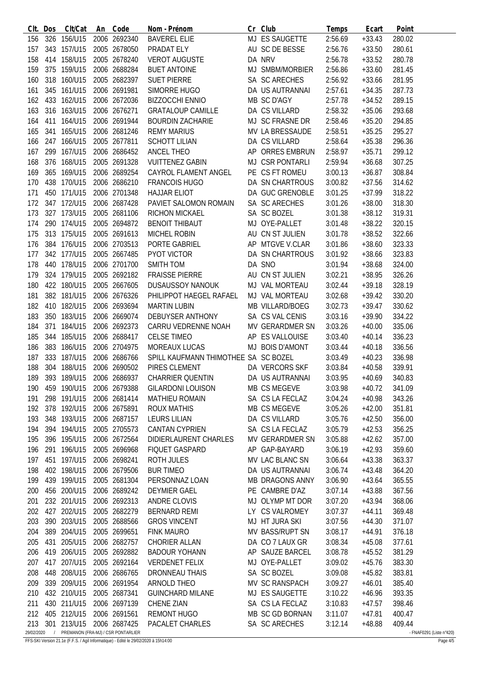| CIt.       | Dos | Clt/Cat                              | An | Code         | Nom - Prénom                         | Cr | Club                   | Temps   | Ecart    | Point                    |
|------------|-----|--------------------------------------|----|--------------|--------------------------------------|----|------------------------|---------|----------|--------------------------|
| 156        |     | 326 156/U15                          |    | 2006 2692340 | <b>BAVEREL ELIE</b>                  |    | MJ ES SAUGETTE         | 2:56.69 | $+33.43$ | 280.02                   |
| 157        |     | 343 157/U15                          |    | 2005 2678050 | PRADAT ELY                           |    | AU SC DE BESSE         | 2:56.76 | $+33.50$ | 280.61                   |
| 158        | 414 | 158/U15                              |    | 2005 2678240 | <b>VEROT AUGUSTE</b>                 |    | DA NRV                 | 2:56.78 | $+33.52$ | 280.78                   |
| 159        |     | 375 159/U15                          |    | 2006 2688284 | <b>BUET ANTOINE</b>                  |    | MJ SMBM/MORBIER        | 2:56.86 | $+33.60$ | 281.45                   |
| 160        |     | 318 160/U15                          |    | 2005 2682397 | <b>SUET PIERRE</b>                   |    | SA SC ARECHES          | 2:56.92 | $+33.66$ | 281.95                   |
| 161        |     | 345 161/U15                          |    | 2006 2691981 | SIMORRE HUGO                         |    | DA US AUTRANNAI        | 2:57.61 | $+34.35$ | 287.73                   |
| 162        |     | 433 162/U15                          |    | 2006 2672036 | <b>BIZZOCCHI ENNIO</b>               |    | MB SC D'AGY            | 2:57.78 | $+34.52$ | 289.15                   |
| 163        |     | 316 163/U15                          |    | 2006 2676271 | <b>GRATALOUP CAMILLE</b>             |    | DA CS VILLARD          | 2:58.32 |          | 293.68                   |
|            |     |                                      |    | 2006 2691944 |                                      |    |                        |         | $+35.06$ |                          |
| 164        | 411 | 164/U15                              |    |              | <b>BOURDIN ZACHARIE</b>              |    | MJ SC FRASNE DR        | 2:58.46 | $+35.20$ | 294.85                   |
| 165        | 341 | 165/U15                              |    | 2006 2681246 | <b>REMY MARIUS</b>                   |    | MV LA BRESSAUDE        | 2:58.51 | $+35.25$ | 295.27                   |
| 166        | 247 | 166/U15                              |    | 2005 2677811 | <b>SCHOTT LILIAN</b>                 |    | DA CS VILLARD          | 2:58.64 | $+35.38$ | 296.36                   |
| 167        | 299 | 167/U15                              |    | 2006 2686452 | <b>ANCEL THEO</b>                    |    | AP ORRES EMBRUN        | 2:58.97 | $+35.71$ | 299.12                   |
| 168        | 376 | 168/U15                              |    | 2005 2691328 | <b>VUITTENEZ GABIN</b>               |    | MJ CSR PONTARLI        | 2:59.94 | $+36.68$ | 307.25                   |
| 169        |     | 365 169/U15                          |    | 2006 2689254 | CAYROL FLAMENT ANGEL                 |    | PE CS FT ROMEU         | 3:00.13 | $+36.87$ | 308.84                   |
| 170        | 438 | 170/U15                              |    | 2006 2686210 | <b>FRANCOIS HUGO</b>                 |    | DA SN CHARTROUS        | 3:00.82 | $+37.56$ | 314.62                   |
| 171        |     | 450 171/U15                          |    | 2006 2701348 | <b>HAJJAR ELIOT</b>                  |    | DA GUC GRENOBLE        | 3:01.25 | $+37.99$ | 318.22                   |
| 172        |     | 347 172/U15                          |    | 2006 2687428 | PAVIET SALOMON ROMAIN                |    | SA SC ARECHES          | 3:01.26 | $+38.00$ | 318.30                   |
| 173        |     | 327 173/U15                          |    | 2005 2681106 | <b>RICHON MICKAEL</b>                |    | SA SC BOZEL            | 3:01.38 | $+38.12$ | 319.31                   |
| 174        | 290 | 174/U15                              |    | 2005 2694872 | <b>BENOIT THIBAUT</b>                |    | MJ OYE-PALLET          | 3:01.48 | $+38.22$ | 320.15                   |
| 175        |     | 313 175/U15                          |    | 2005 2691613 | MICHEL ROBIN                         |    | AU CN ST JULIEN        | 3:01.78 | $+38.52$ | 322.66                   |
| 176        |     | 384 176/U15                          |    | 2006 2703513 | PORTE GABRIEL                        |    | AP MTGVE V.CLAR        | 3:01.86 | $+38.60$ | 323.33                   |
| 177        |     | 342 177/U15                          |    | 2005 2667485 | PYOT VICTOR                          |    | DA SN CHARTROUS        | 3:01.92 | $+38.66$ | 323.83                   |
|            |     |                                      |    |              |                                      |    |                        |         |          |                          |
| 178        |     | 440 178/U15                          |    | 2006 2701700 | <b>SMITH TOM</b>                     |    | DA SNO                 | 3:01.94 | $+38.68$ | 324.00                   |
| 179        |     | 324 179/U15                          |    | 2005 2692182 | <b>FRAISSE PIERRE</b>                |    | AU CN ST JULIEN        | 3:02.21 | $+38.95$ | 326.26                   |
| 180        |     | 422 180/U15                          |    | 2005 2667605 | <b>DUSAUSSOY NANOUK</b>              |    | MJ VAL MORTEAU         | 3:02.44 | $+39.18$ | 328.19                   |
| 181        | 382 | 181/U15                              |    | 2006 2676326 | PHILIPPOT HAEGEL RAFAEL              |    | MJ VAL MORTEAU         | 3:02.68 | $+39.42$ | 330.20                   |
| 182        | 410 | 182/U15                              |    | 2006 2693694 | <b>MARTIN LUBIN</b>                  |    | MB VILLARD/BOEG        | 3:02.73 | $+39.47$ | 330.62                   |
| 183        | 350 | 183/U15                              |    | 2006 2669074 | <b>DEBUYSER ANTHONY</b>              |    | SA CS VAL CENIS        | 3:03.16 | $+39.90$ | 334.22                   |
| 184        | 371 | 184/U15                              |    | 2006 2692373 | CARRU VEDRENNE NOAH                  |    | MV GERARDMER SN        | 3:03.26 | $+40.00$ | 335.06                   |
| 185        | 344 | 185/U15                              |    | 2006 2688417 | <b>CELSE TIMEO</b>                   |    | AP ES VALLOUISE        | 3:03.40 | $+40.14$ | 336.23                   |
| 186        |     | 383 186/U15                          |    | 2006 2704975 | <b>MOREAUX LUCAS</b>                 |    | MJ BOIS D'AMONT        | 3:03.44 | $+40.18$ | 336.56                   |
| 187        |     | 333 187/U15                          |    | 2006 2686766 | SPILL KAUFMANN THIMOTHEE SA SC BOZEL |    |                        | 3:03.49 | $+40.23$ | 336.98                   |
| 188        | 304 | 188/U15                              |    | 2006 2690502 | PIRES CLEMENT                        |    | DA VERCORS SKF         | 3:03.84 | $+40.58$ | 339.91                   |
| 189        |     | 393 189/U15                          |    | 2006 2686937 | <b>CHARRIER QUENTIN</b>              |    | DA US AUTRANNAI        | 3:03.95 | $+40.69$ | 340.83                   |
| 190        |     | 459 190/U15                          |    | 2006 2679388 | <b>GILARDONI LOUISON</b>             |    | MB CS MEGEVE           | 3:03.98 | $+40.72$ | 341.09                   |
| 191        |     | 298 191/U15                          |    | 2006 2681414 | <b>MATHIEU ROMAIN</b>                |    | SA CS LA FECLAZ        | 3:04.24 | $+40.98$ | 343.26                   |
| 192        |     | 378 192/U15                          |    | 2006 2675891 | <b>ROUX MATHIS</b>                   |    | MB CS MEGEVE           | 3:05.26 | $+42.00$ | 351.81                   |
|            |     |                                      |    |              |                                      |    | DA CS VILLARD          |         |          |                          |
| 193        |     | 348 193/U15                          |    | 2006 2687157 | <b>LEURS LILIAN</b>                  |    |                        | 3:05.76 | $+42.50$ | 356.00                   |
| 194        |     | 394 194/U15                          |    | 2005 2705573 | <b>CANTAN CYPRIEN</b>                |    | SA CS LA FECLAZ        | 3:05.79 | $+42.53$ | 356.25                   |
| 195        |     | 396 195/U15                          |    | 2006 2672564 | <b>DIDIERLAURENT CHARLES</b>         |    | MV GERARDMER SN        | 3:05.88 | $+42.62$ | 357.00                   |
| 196        |     | 291 196/U15                          |    | 2005 2696968 | <b>FIQUET GASPARD</b>                |    | AP GAP-BAYARD          | 3:06.19 | $+42.93$ | 359.60                   |
| 197        | 451 | 197/U15                              |    | 2006 2698241 | <b>ROTH JULES</b>                    |    | MV LAC BLANC SN        | 3:06.64 | $+43.38$ | 363.37                   |
| 198        |     | 402 198/U15                          |    | 2006 2679506 | <b>BUR TIMEO</b>                     |    | DA US AUTRANNAI        | 3:06.74 | $+43.48$ | 364.20                   |
| 199        |     | 439 199/U15                          |    | 2005 2681304 | PERSONNAZ LOAN                       |    | <b>MB DRAGONS ANNY</b> | 3:06.90 | $+43.64$ | 365.55                   |
| 200        |     | 456 200/U15                          |    | 2006 2689242 | <b>DEYMIER GAEL</b>                  |    | PE CAMBRE D'AZ         | 3:07.14 | $+43.88$ | 367.56                   |
| 201        |     | 232 201/U15                          |    | 2006 2692313 | ANDRE CLOVIS                         |    | MJ OLYMP MT DOR        | 3:07.20 | $+43.94$ | 368.06                   |
| 202        |     | 427 202/U15                          |    | 2005 2682279 | <b>BERNARD REMI</b>                  |    | LY CS VALROMEY         | 3:07.37 | $+44.11$ | 369.48                   |
| 203        |     | 390 203/U15                          |    | 2005 2688566 | <b>GROS VINCENT</b>                  |    | MJ HT JURA SKI         | 3:07.56 | $+44.30$ | 371.07                   |
| 204        | 389 | 204/U15                              |    | 2005 2699651 | <b>FINK MAURO</b>                    |    | MV BASS/RUPT SN        | 3:08.17 | $+44.91$ | 376.18                   |
| 205        | 431 | 205/U15                              |    | 2006 2682757 | <b>CHORIER ALLAN</b>                 |    | DA CO 7 LAUX GR        | 3:08.34 | $+45.08$ | 377.61                   |
| 206        | 419 | 206/U15                              |    | 2005 2692882 | <b>BADOUR YOHANN</b>                 |    | AP SAUZE BARCEL        | 3:08.78 | $+45.52$ | 381.29                   |
|            | 417 | 207/U15                              |    | 2005 2692164 | <b>VERDENET FELIX</b>                |    | MJ OYE-PALLET          | 3:09.02 | $+45.76$ | 383.30                   |
| 207        |     |                                      |    |              |                                      |    |                        |         |          |                          |
| 208        |     | 448 208/U15                          |    | 2006 2686765 | DRONNEAU THAIS                       |    | SA SC BOZEL            | 3:09.08 | $+45.82$ | 383.81                   |
| 209        |     | 339 209/U15                          |    | 2006 2691954 | ARNOLD THEO                          |    | MV SC RANSPACH         | 3:09.27 | $+46.01$ | 385.40                   |
| 210        |     | 432 210/U15                          |    | 2005 2687341 | <b>GUINCHARD MILANE</b>              |    | MJ ES SAUGETTE         | 3:10.22 | $+46.96$ | 393.35                   |
| 211        |     | 430 211/U15                          |    | 2006 2697139 | <b>CHENE ZIAN</b>                    |    | SA CS LA FECLAZ        | 3:10.83 | $+47.57$ | 398.46                   |
| 212        |     | 405 212/U15                          |    | 2006 2691561 | <b>REMONT HUGO</b>                   |    | MB SC GD BORNAN        | 3:11.07 | $+47.81$ | 400.47                   |
| 213        |     | 301 213/U15                          |    | 2006 2687425 | PACALET CHARLES                      |    | SA SC ARECHES          | 3:12.14 | $+48.88$ | 409.44                   |
| 29/02/2020 |     | / PREMANON (FRA-MJ) / CSR PONTARLIER |    |              |                                      |    |                        |         |          | - FNAF0291 (Liste n°420) |

FFS-SKI Version 21.1e (F.F.S. / Agil Informatique) - Edité le 29/02/2020 à 15h14:00 Page 4/5